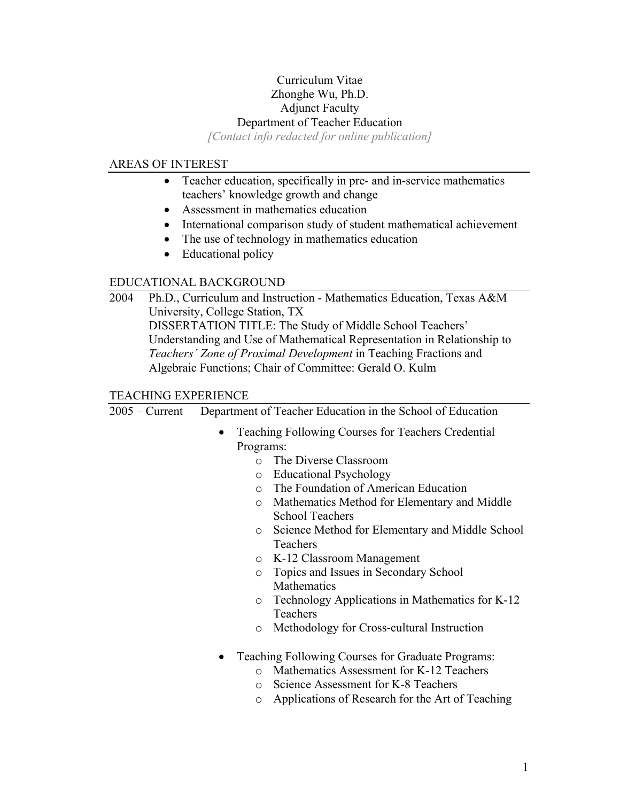# Curriculum Vitae Zhonghe Wu, Ph.D. Adjunct Faculty Department of Teacher Education

*[Contact info redacted for online publication]* 

### AREAS OF INTEREST

- Teacher education, specifically in pre- and in-service mathematics teachers' knowledge growth and change
- Assessment in mathematics education
- International comparison study of student mathematical achievement
- The use of technology in mathematics education
- Educational policy

## EDUCATIONAL BACKGROUND

2004Ph.D., Curriculum and Instruction - Mathematics Education, Texas A&M University, College Station, TX DISSERTATION TITLE: The Study of Middle School Teachers' Understanding and Use of Mathematical Representation in Relationship to *Teachers' Zone of Proximal Development* in Teaching Fractions and Algebraic Functions; Chair of Committee: [Gerald O. Kulm](http://www.coe.tamu.edu/%7Egkulm/) 

### TEACHING EXPERIENCE

2005 – Current Department of Teacher Education in the School of Education

- Teaching Following Courses for Teachers Credential Programs:
	- o The Diverse Classroom
	- o Educational Psychology
	- o The Foundation of American Education
	- o Mathematics Method for Elementary and Middle School Teachers
	- o Science Method for Elementary and Middle School Teachers
	- o K-12 Classroom Management
	- o Topics and Issues in Secondary School Mathematics
	- o Technology Applications in Mathematics for K-12 Teachers
	- o Methodology for Cross-cultural Instruction
- Teaching Following Courses for Graduate Programs:
	- o Mathematics Assessment for K-12 Teachers
	- o Science Assessment for K-8 Teachers
	- o Applications of Research for the Art of Teaching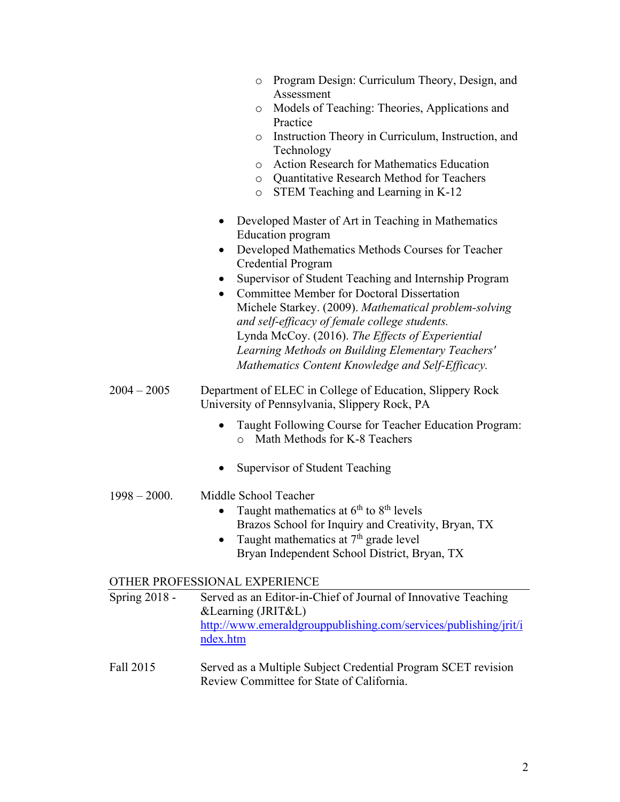| o Program Design: Curriculum Theory, Design, and |
|--------------------------------------------------|
| Assessment                                       |

- o Models of Teaching: Theories, Applications and Practice
- o [Instruction Theory in Curriculum, Instruction, and](http://nu.edu/Academics/Schools/SOE/TeacherEducation/Courses/MAT644.html) [Technology](http://nu.edu/Academics/Schools/SOE/TeacherEducation/Courses/MAT644.html)
- o Action Research for Mathematics Education
- o Quantitative Research Method for Teachers
- o STEM Teaching and Learning in K-12
- Developed Master of Art in Teaching in Mathematics Education program
- Developed Mathematics Methods Courses for Teacher Credential Program
- Supervisor of Student Teaching and Internship Program
- Committee Member for Doctoral Dissertation Michele Starkey. (2009). *Mathematical problem-solving and self-efficacy of female college students.* Lynda McCoy. (2016). *The Effects of Experiential Learning Methods on Building Elementary Teachers' Mathematics Content Knowledge and Self-Efficacy.*

### 2004 – 2005 Department of ELEC in College of Education, Slippery Rock University of Pennsylvania, Slippery Rock, PA

- Taught Following Course for Teacher Education Program: o Math Methods for K-8 Teachers
- Supervisor of Student Teaching

### 1998 – 2000. Middle School Teacher

- Taught mathematics at  $6<sup>th</sup>$  to  $8<sup>th</sup>$  levels Brazos School for Inquiry and Creativity, Bryan, TX
- Taught mathematics at  $7<sup>th</sup>$  grade level Bryan Independent School District, Bryan, TX

### OTHER PROFESSIONAL EXPERIENCE

| Spring $2018 -$ | Served as an Editor-in-Chief of Journal of Innovative Teaching   |
|-----------------|------------------------------------------------------------------|
|                 | $&$ Learning (JRIT $&$ L)                                        |
|                 | http://www.emeraldgrouppublishing.com/services/publishing/jrit/i |
|                 | ndex.htm                                                         |

Fall 2015 Served as a Multiple Subject Credential Program SCET revision Review Committee for State of California.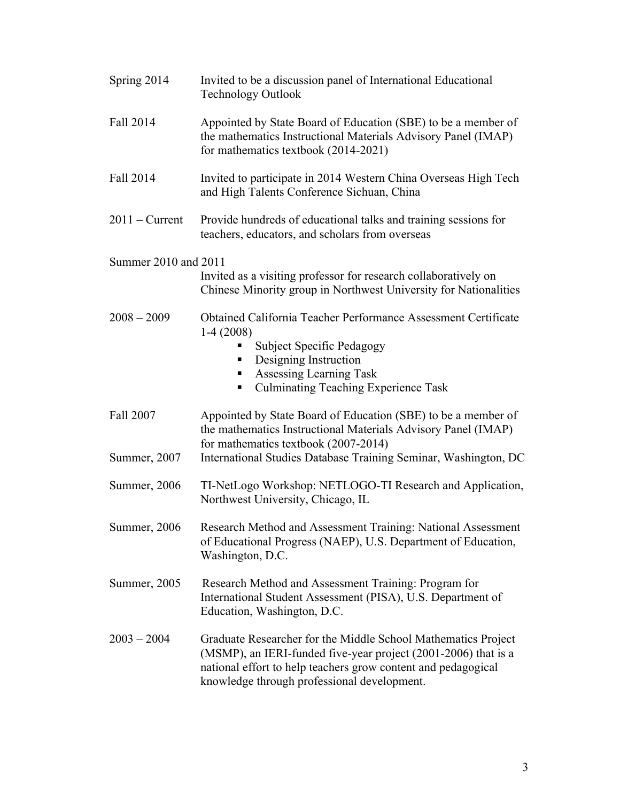| Spring 2014          | Invited to be a discussion panel of International Educational<br><b>Technology Outlook</b>                                                                                                                                                      |
|----------------------|-------------------------------------------------------------------------------------------------------------------------------------------------------------------------------------------------------------------------------------------------|
| Fall 2014            | Appointed by State Board of Education (SBE) to be a member of<br>the mathematics Instructional Materials Advisory Panel (IMAP)<br>for mathematics textbook (2014-2021)                                                                          |
| Fall 2014            | Invited to participate in 2014 Western China Overseas High Tech<br>and High Talents Conference Sichuan, China                                                                                                                                   |
| $2011 -$ Current     | Provide hundreds of educational talks and training sessions for<br>teachers, educators, and scholars from overseas                                                                                                                              |
| Summer 2010 and 2011 |                                                                                                                                                                                                                                                 |
|                      | Invited as a visiting professor for research collaboratively on<br>Chinese Minority group in Northwest University for Nationalities                                                                                                             |
| $2008 - 2009$        | Obtained California Teacher Performance Assessment Certificate<br>$1-4(2008)$<br><b>Subject Specific Pedagogy</b><br>Designing Instruction<br>Assessing Learning Task<br><b>Culminating Teaching Experience Task</b>                            |
| Fall 2007            | Appointed by State Board of Education (SBE) to be a member of<br>the mathematics Instructional Materials Advisory Panel (IMAP)<br>for mathematics textbook (2007-2014)                                                                          |
| Summer, 2007         | International Studies Database Training Seminar, Washington, DC                                                                                                                                                                                 |
| Summer, 2006         | TI-NetLogo Workshop: NETLOGO-TI Research and Application,<br>Northwest University, Chicago, IL                                                                                                                                                  |
| Summer, 2006         | Research Method and Assessment Training: National Assessment<br>of Educational Progress (NAEP), U.S. Department of Education,<br>Washington, D.C.                                                                                               |
| Summer, 2005         | Research Method and Assessment Training: Program for<br>International Student Assessment (PISA), U.S. Department of<br>Education, Washington, D.C.                                                                                              |
| $2003 - 2004$        | Graduate Researcher for the Middle School Mathematics Project<br>(MSMP), an IERI-funded five-year project (2001-2006) that is a<br>national effort to help teachers grow content and pedagogical<br>knowledge through professional development. |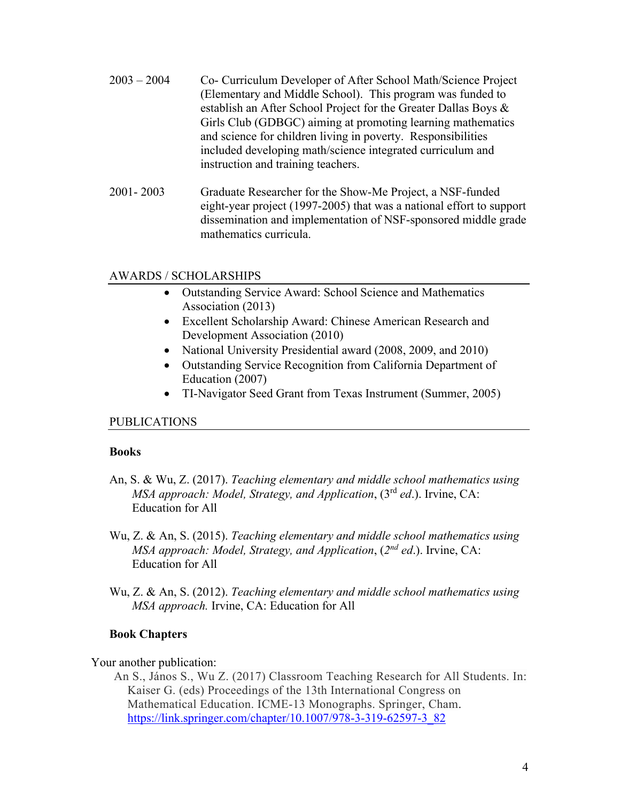| $2003 - 2004$ | Co- Curriculum Developer of After School Math/Science Project<br>(Elementary and Middle School). This program was funded to<br>establish an After School Project for the Greater Dallas Boys &<br>Girls Club (GDBGC) aiming at promoting learning mathematics<br>and science for children living in poverty. Responsibilities<br>included developing math/science integrated curriculum and |
|---------------|---------------------------------------------------------------------------------------------------------------------------------------------------------------------------------------------------------------------------------------------------------------------------------------------------------------------------------------------------------------------------------------------|
|               | instruction and training teachers.                                                                                                                                                                                                                                                                                                                                                          |

2001- 2003 Graduate Researcher for the Show-Me Project, a NSF-funded eight-year project (1997-2005) that was a national effort to support dissemination and implementation of NSF-sponsored middle grade mathematics curricula.

### AWARDS / SCHOLARSHIPS

- Outstanding Service Award: School Science and Mathematics Association (2013)
- Excellent Scholarship Award: Chinese American Research and Development Association (2010)
- National University Presidential award (2008, 2009, and 2010)
- Outstanding Service Recognition from California Department of Education (2007)
- TI-Navigator Seed Grant from Texas Instrument (Summer, 2005)

#### PUBLICATIONS

#### **Books**

- An, S. & Wu, Z. (2017). *Teaching elementary and middle school mathematics using MSA approach: Model, Strategy, and Application*, (3rd *ed*.). Irvine, CA: Education for All
- Wu, Z. & An, S. (2015). *Teaching elementary and middle school mathematics using MSA approach: Model, Strategy, and Application*, (*2nd ed*.). Irvine, CA: Education for All
- Wu, Z. & An, S. (2012). *Teaching elementary and middle school mathematics using MSA approach.* Irvine, CA: Education for All

### **Book Chapters**

#### Your another publication:

An S., János S., Wu Z. (2017) Classroom Teaching Research for All Students. In: Kaiser G. (eds) Proceedings of the 13th International Congress on Mathematical Education. ICME-13 Monographs. Springer, Cham. [https://link.springer.com/chapter/10.1007/978-3-319-62597-3\\_82](https://urldefense.proofpoint.com/v2/url?u=https-3A__link.springer.com_chapter_10.1007_978-2D3-2D319-2D62597-2D3-5F82&d=DwMFAw&c=qwHaVVscXk_NBWd7DQFk0g&r=Gk4S_hhLVAxKxqs0HNZ1ZA&m=FLzSmQlZ2Ze0T-CthfOnQ03H2kgCv60CscU-jSUHZPM&s=r7I7DD8tLEH1fQvVYDd11BPUdMuz-miea8HdTLX-Rdk&e=)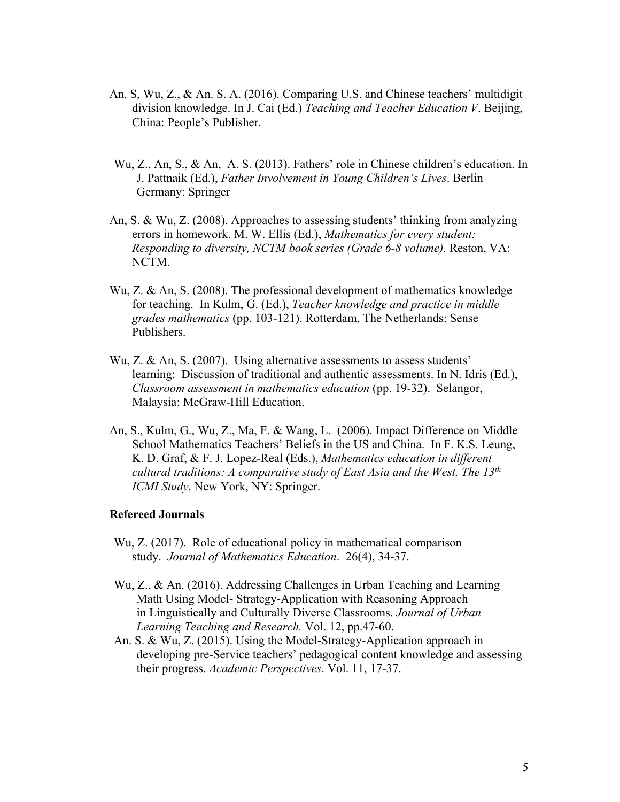- An. S, Wu, Z., & An. S. A. (2016). Comparing U.S. and Chinese teachers' multidigit division knowledge. In J. Cai (Ed.) *Teaching and Teacher Education V*. Beijing, China: People's Publisher.
- Wu, Z., An, S., & An, A. S. (2013). Fathers' role in Chinese children's education. In J. Pattnaik (Ed.), *Father Involvement in Young Children's Lives*. Berlin Germany: Springer
- An, S. & Wu, Z. (2008). Approaches to assessing students' thinking from analyzing errors in homework. M. W. Ellis (Ed.), *Mathematics for every student: Responding to diversity, NCTM book series (Grade 6-8 volume).* Reston, VA: NCTM.
- Wu, Z. & An, S. (2008). The professional development of mathematics knowledge for teaching. In Kulm, G. (Ed.), *Teacher knowledge and practice in middle grades mathematics* (pp. 103-121). Rotterdam, The Netherlands: Sense Publishers.
- Wu, Z. & An, S. (2007). Using alternative assessments to assess students' learning: Discussion of traditional and authentic assessments. In N. Idris (Ed.), *Classroom assessment in mathematics education* (pp. 19-32). Selangor, Malaysia: McGraw-Hill Education.
- An, S., Kulm, G., Wu, Z., Ma, F. & Wang, L. (2006). Impact Difference on Middle School Mathematics Teachers' Beliefs in the US and China. In F. K.S. Leung, K. D. Graf, & F. J. Lopez-Real (Eds.), *Mathematics education in different cultural traditions: A comparative study of East Asia and the West, The 13th ICMI Study.* New York, NY: Springer.

#### **Refereed Journals**

- Wu, Z. (2017). Role of educational policy in mathematical comparison study. *Journal of Mathematics Education*. 26(4), 34-37.
- Wu, Z., & An. (2016). Addressing Challenges in Urban Teaching and Learning Math Using Model- Strategy-Application with Reasoning Approach in Linguistically and Culturally Diverse Classrooms. *Journal of Urban Learning Teaching and Research.* Vol. 12, pp.47-60.
- An. S. & Wu, Z. (2015). Using the Model-Strategy-Application approach in developing pre-Service teachers' pedagogical content knowledge and assessing their progress. *Academic Perspectives*. Vol. 11, 17-37.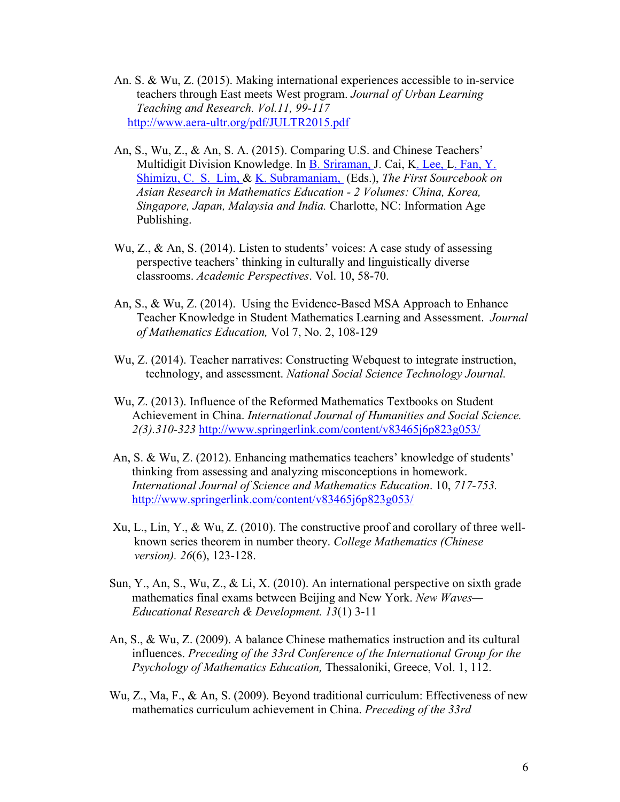- An. S. & Wu, Z. (2015). Making international experiences accessible to in-service teachers through East meets West program. *Journal of Urban Learning Teaching and Research. Vol.11, 99-117* <http://www.aera-ultr.org/pdf/JULTR2015.pdf>
- An, S., Wu, Z., & An, S. A. (2015). Comparing U.S. and Chinese Teachers' Multidigit Division Knowledge. In [B. Sriraman,](http://www.infoagepub.com/authors/bharath-sriraman) J. Cai, [K. Lee,](http://www.infoagepub.com/authors/kyeong-hwa-lee) [L. Fan,](http://www.infoagepub.com/authors/lianghuo-fan) [Y.](http://www.infoagepub.com/authors/yoshinori-shimizu)  [Shimizu,](http://www.infoagepub.com/authors/yoshinori-shimizu) [C. S. Lim,](http://www.infoagepub.com/authors/chap-sam-lim) & [K. Subramaniam,](http://www.infoagepub.com/authors/k-subramaniam) (Eds.), *The First Sourcebook on Asian Research in Mathematics Education - 2 Volumes: China, Korea, Singapore, Japan, Malaysia and India.* Charlotte, NC: Information Age Publishing.
- Wu, Z., & An, S. (2014). Listen to students' voices: A case study of assessing perspective teachers' thinking in culturally and linguistically diverse classrooms. *Academic Perspectives*. Vol. 10, 58-70.
- An, S., & Wu, Z. (2014). Using the Evidence-Based MSA Approach to Enhance Teacher Knowledge in Student Mathematics Learning and Assessment. *Journal of Mathematics Education,* Vol 7, No. 2, 108-129
- Wu, Z. (2014). Teacher narratives: Constructing Webquest to integrate instruction, technology, and assessment. *National Social Science Technology Journal.*
- Wu, Z. (2013). Influence of the Reformed Mathematics Textbooks on Student Achievement in China. *[International Journal of Humanities and Social Science.](http://www.ijhssnet.com/) 2(3).310-323* <http://www.springerlink.com/content/v83465j6p823g053/>
- An, S. & Wu, Z. (2012). Enhancing mathematics teachers' knowledge of students' thinking from assessing and analyzing misconceptions in homework. *International Journal of Science and Mathematics Education*. 10, *717-753.* <http://www.springerlink.com/content/v83465j6p823g053/>
- Xu, L., Lin, Y., & Wu, Z. (2010). The constructive proof and corollary of three wellknown series theorem in number theory. *College Mathematics (Chinese version). 26*(6), 123-128.
- Sun, Y., An, S., Wu, Z., & Li, X. (2010). An international perspective on sixth grade mathematics final exams between Beijing and New York. *New Waves— Educational Research & Development. 13*(1) 3-11
- An, S., & Wu, Z. (2009). A balance Chinese mathematics instruction and its cultural influences. *Preceding of the 33rd Conference of the International Group for the Psychology of Mathematics Education,* Thessaloniki, Greece, Vol. 1, 112.
- Wu, Z., Ma, F., & An, S. (2009). Beyond traditional curriculum: Effectiveness of new mathematics curriculum achievement in China. *Preceding of the 33rd*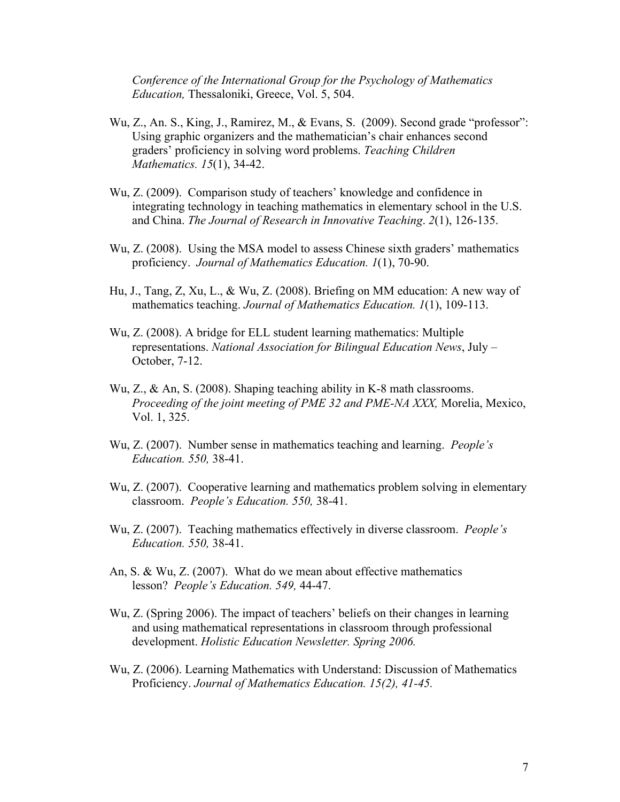*Conference of the International Group for the Psychology of Mathematics Education,* Thessaloniki, Greece, Vol. 5, 504.

- Wu, Z., An. S., King, J., Ramirez, M., & Evans, S. (2009). Second grade "professor": Using graphic organizers and the mathematician's chair enhances second graders' proficiency in solving word problems. *Teaching Children Mathematics. 15*(1), 34-42.
- Wu, Z. (2009). Comparison study of teachers' knowledge and confidence in integrating technology in teaching mathematics in elementary school in the U.S. and China. *The Journal of Research in Innovative Teaching*. *2*(1), 126-135.
- Wu, Z. (2008). Using the MSA model to assess Chinese sixth graders' mathematics proficiency. *Journal of Mathematics Education. 1*(1), 70-90.
- Hu, J., Tang, Z, Xu, L., & Wu, Z. (2008). Briefing on MM education: A new way of mathematics teaching. *Journal of Mathematics Education. 1*(1), 109-113.
- Wu, Z. (2008). A bridge for ELL student learning mathematics: Multiple representations. *National Association for Bilingual Education News*, July – October, 7-12.
- Wu, Z., & An, S. (2008). Shaping teaching ability in K-8 math classrooms. *Proceeding of the joint meeting of PME 32 and PME-NA XXX,* Morelia, Mexico, Vol. 1, 325.
- Wu, Z. (2007). Number sense in mathematics teaching and learning. *People's Education. 550,* 38-41.
- Wu, Z. (2007). Cooperative learning and mathematics problem solving in elementary classroom. *People's Education. 550,* 38-41.
- Wu, Z. (2007). Teaching mathematics effectively in diverse classroom. *People's Education. 550,* 38-41.
- An, S. & Wu, Z. (2007). What do we mean about effective mathematics lesson? *People's Education. 549,* 44-47.
- Wu, Z. (Spring 2006). The impact of teachers' beliefs on their changes in learning and using mathematical representations in classroom through professional development. *Holistic Education Newsletter. Spring 2006.*
- Wu, Z. (2006). Learning Mathematics with Understand: Discussion of Mathematics Proficiency. *Journal of Mathematics Education. 15(2), 41-45.*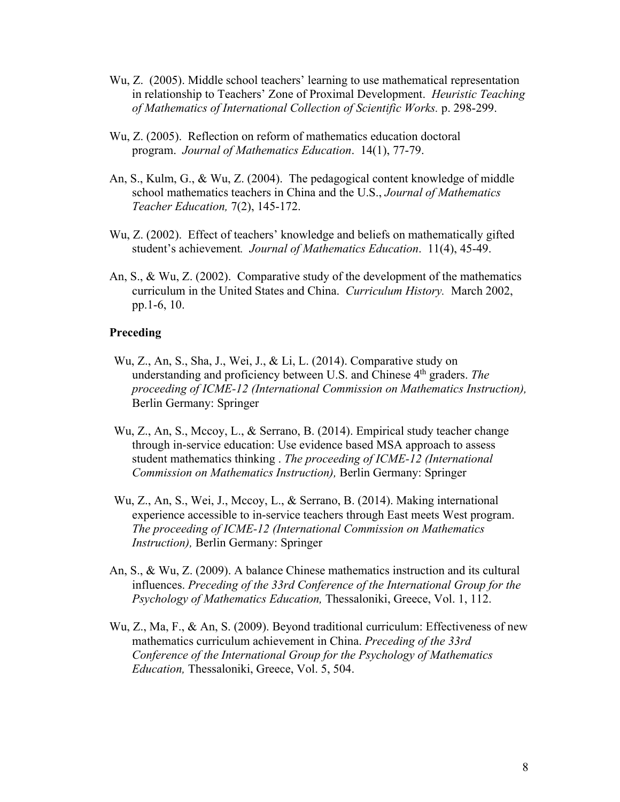- Wu, Z. (2005). Middle school teachers' learning to use mathematical representation in relationship to Teachers' Zone of Proximal Development. *Heuristic Teaching of Mathematics of International Collection of Scientific Works.* p. 298-299.
- Wu, Z. (2005). Reflection on reform of mathematics education doctoral program. *Journal of Mathematics Education*. 14(1), 77-79.
- An, S., Kulm, G., & Wu, Z. (2004). The pedagogical content knowledge of middle school mathematics teachers in China and the U.S., *Journal of Mathematics Teacher Education,* 7(2), 145-172.
- Wu, Z. (2002). Effect of teachers' knowledge and beliefs on mathematically gifted student's achievement*. Journal of Mathematics Education*. 11(4), 45-49.
- An, S., & Wu, Z. (2002). Comparative study of the development of the mathematics curriculum in the United States and China. *Curriculum History.* March 2002, pp.1-6, 10.

#### **Preceding**

- Wu, Z., An, S., Sha, J., Wei, J., & Li, L. (2014). Comparative study on understanding and proficiency between U.S. and Chinese 4<sup>th</sup> graders. *The proceeding of ICME-12 (International Commission on Mathematics Instruction),*  Berlin Germany: Springer
- Wu, Z., An, S., Mccoy, L., & Serrano, B. (2014). Empirical study teacher change through in-service education: Use evidence based MSA approach to assess student mathematics thinking . *The proceeding of ICME-12 (International Commission on Mathematics Instruction),* Berlin Germany: Springer
- Wu, Z., An, S., Wei, J., Mccoy, L., & Serrano, B. (2014). Making international experience accessible to in-service teachers through East meets West program. *The proceeding of ICME-12 (International Commission on Mathematics Instruction),* Berlin Germany: Springer
- An, S., & Wu, Z. (2009). A balance Chinese mathematics instruction and its cultural influences. *Preceding of the 33rd Conference of the International Group for the Psychology of Mathematics Education,* Thessaloniki, Greece, Vol. 1, 112.
- Wu, Z., Ma, F., & An, S. (2009). Beyond traditional curriculum: Effectiveness of new mathematics curriculum achievement in China. *Preceding of the 33rd Conference of the International Group for the Psychology of Mathematics Education,* Thessaloniki, Greece, Vol. 5, 504.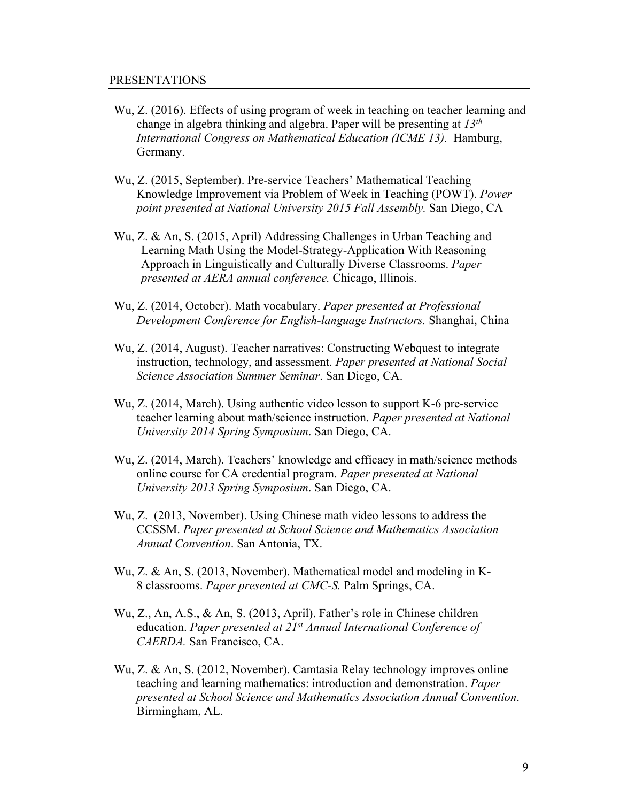- Wu, Z. (2016). Effects of using program of week in teaching on teacher learning and change in algebra thinking and algebra. Paper will be presenting at *13th International Congress on Mathematical Education (ICME 13).* Hamburg, Germany.
- Wu, Z. (2015, September). Pre-service Teachers' Mathematical Teaching Knowledge Improvement via Problem of Week in Teaching (POWT). *Power point presented at National University 2015 Fall Assembly.* San Diego, CA
- Wu, Z. & An, S. (2015, April) Addressing Challenges in Urban Teaching and Learning Math Using the Model-Strategy-Application With Reasoning Approach in Linguistically and Culturally Diverse Classrooms. *Paper presented at AERA annual conference.* Chicago, Illinois.
- Wu, Z. (2014, October). Math vocabulary. *Paper presented at Professional Development Conference for English-language Instructors.* Shanghai, China
- Wu, Z. (2014, August). Teacher narratives: Constructing Webquest to integrate instruction, technology, and assessment. *Paper presented at National Social Science Association Summer Seminar*. San Diego, CA.
- Wu, Z. (2014, March). Using authentic video lesson to support K-6 pre-service teacher learning about math/science instruction. *Paper presented at National University 2014 Spring Symposium*. San Diego, CA.
- Wu, Z. (2014, March). Teachers' knowledge and efficacy in math/science methods online course for CA credential program. *Paper presented at National University 2013 Spring Symposium*. San Diego, CA.
- Wu, Z. (2013, November). Using Chinese math video lessons to address the CCSSM. *Paper presented at School Science and Mathematics Association Annual Convention*. San Antonia, TX.
- Wu, Z. & An, S. (2013, November). Mathematical model and modeling in K-8 classrooms. *Paper presented at CMC-S.* Palm Springs, CA.
- Wu, Z., An, A.S., & An, S. (2013, April). Father's role in Chinese children education. *Paper presented at 21st Annual International Conference of CAERDA.* San Francisco, CA.
- Wu, Z. & An, S. (2012, November). Camtasia Relay technology improves online teaching and learning mathematics: introduction and demonstration. *Paper presented at School Science and Mathematics Association Annual Convention*. Birmingham, AL.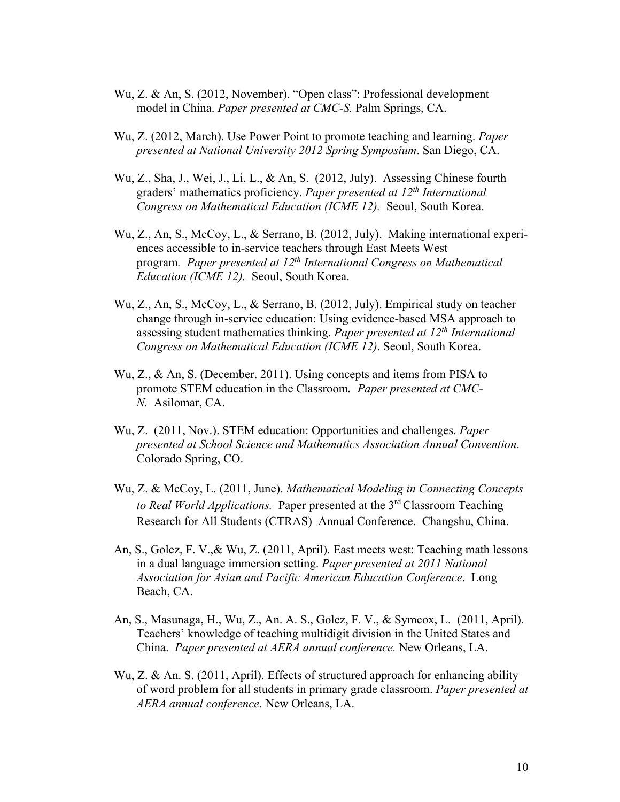- Wu, Z. & An, S. (2012, November). "Open class": Professional development model in China. *Paper presented at CMC-S.* Palm Springs, CA.
- Wu, Z. (2012, March). Use Power Point to promote teaching and learning. *Paper presented at National University 2012 Spring Symposium*. San Diego, CA.
- Wu, Z., Sha, J., Wei, J., Li, L., & An, S. (2012, July). Assessing Chinese fourth graders' mathematics proficiency. *Paper presented at 12th International Congress on Mathematical Education (ICME 12).* Seoul, South Korea.
- Wu, Z., An, S., McCoy, L., & Serrano, B. (2012, July). Making international experiences accessible to in-service teachers through East Meets West program*. Paper presented at 12th International Congress on Mathematical Education (ICME 12).* Seoul, South Korea.
- Wu, Z., An, S., McCoy, L., & Serrano, B. (2012, July). Empirical study on teacher change through in-service education: Using evidence-based MSA approach to assessing student mathematics thinking. *Paper presented at 12th International Congress on Mathematical Education (ICME 12)*. Seoul, South Korea.
- Wu, Z., & An, S. (December. 2011). Using concepts and items from PISA to promote STEM education in the Classroom*. Paper presented at CMC-N.* Asilomar, CA.
- Wu, Z. (2011, Nov.). STEM education: Opportunities and challenges. *Paper presented at School Science and Mathematics Association Annual Convention*. Colorado Spring, CO.
- Wu, Z. & McCoy, L. (2011, June). *Mathematical Modeling in Connecting Concepts to Real World Applications.* Paper presented at the 3rd Classroom Teaching Research for All Students (CTRAS) Annual Conference. Changshu, China.
- An, S., Golez, F. V.,& Wu, Z. (2011, April). East meets west: Teaching math lessons in a dual language immersion setting. *Paper presented at 2011 National Association for Asian and Pacific American Education Conference*. Long Beach, CA.
- An, S., Masunaga, H., Wu, Z., An. A. S., Golez, F. V., & Symcox, L. (2011, April). Teachers' knowledge of teaching multidigit division in the United States and China. *Paper presented at AERA annual conference.* New Orleans, LA.
- Wu, Z. & An. S. (2011, April). Effects of structured approach for enhancing ability of word problem for all students in primary grade classroom. *Paper presented at AERA annual conference.* New Orleans, LA.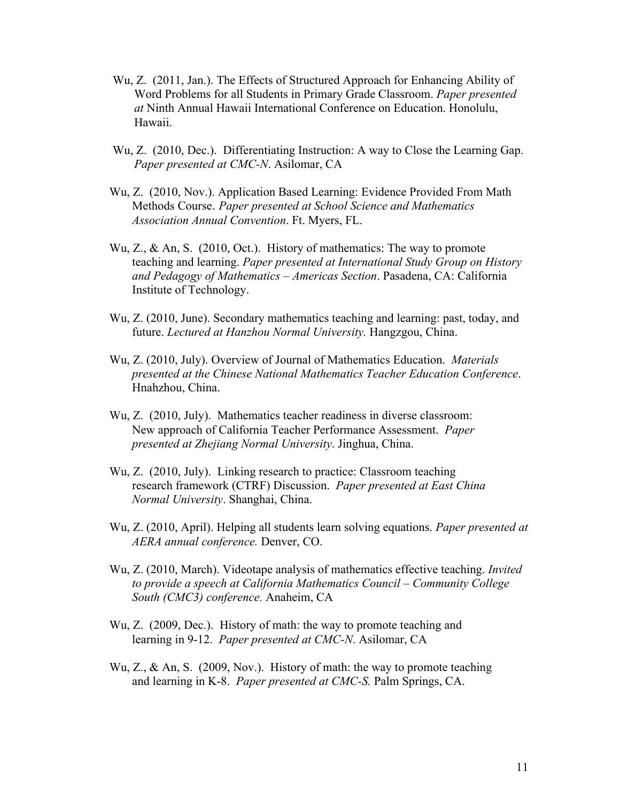- Wu, Z. (2011, Jan.). The Effects of Structured Approach for Enhancing Ability of Word Problems for all Students in Primary Grade Classroom. *Paper presented at* Ninth Annual Hawaii International Conference on Education. Honolulu, Hawaii.
- Wu, Z. (2010, Dec.). Differentiating Instruction: A way to Close the Learning Gap. *Paper presented at CMC-N*. Asilomar, CA
- Wu, Z. (2010, Nov.). Application Based Learning: Evidence Provided From Math Methods Course. *Paper presented at School Science and Mathematics Association Annual Convention*. Ft. Myers, FL.
- Wu, Z., & An, S. (2010, Oct.). History of mathematics: The way to promote teaching and learning. *Paper presented at International Study Group on History and Pedagogy of Mathematics – Americas Section*. Pasadena, CA: California Institute of Technology.
- Wu, Z. (2010, June). Secondary mathematics teaching and learning: past, today, and future. *Lectured at Hanzhou Normal University.* Hangzgou, China.
- Wu, Z. (2010, July). Overview of Journal of Mathematics Education. *Materials presented at the Chinese National Mathematics Teacher Education Conference*. Hnahzhou, China.
- Wu, Z. (2010, July). Mathematics teacher readiness in diverse classroom: New approach of California Teacher Performance Assessment. *Paper presented at Zhejiang Normal University*. Jinghua, China.
- Wu, Z. (2010, July). Linking research to practice: Classroom teaching research framework (CTRF) Discussion. *Paper presented at East China Normal University*. Shanghai, China.
- Wu, Z. (2010, April). Helping all students learn solving equations. *Paper presented at AERA annual conference.* Denver, CO.
- Wu, Z. (2010, March). Videotape analysis of mathematics effective teaching. *Invited to provide a speech at California Mathematics Council – Community College South (CMC3) conference.* Anaheim, CA
- Wu, Z. (2009, Dec.). History of math: the way to promote teaching and learning in 9-12. *Paper presented at CMC-N*. Asilomar, CA
- Wu, Z., & An, S. (2009, Nov.). History of math: the way to promote teaching and learning in K-8. *Paper presented at CMC-S.* Palm Springs, CA.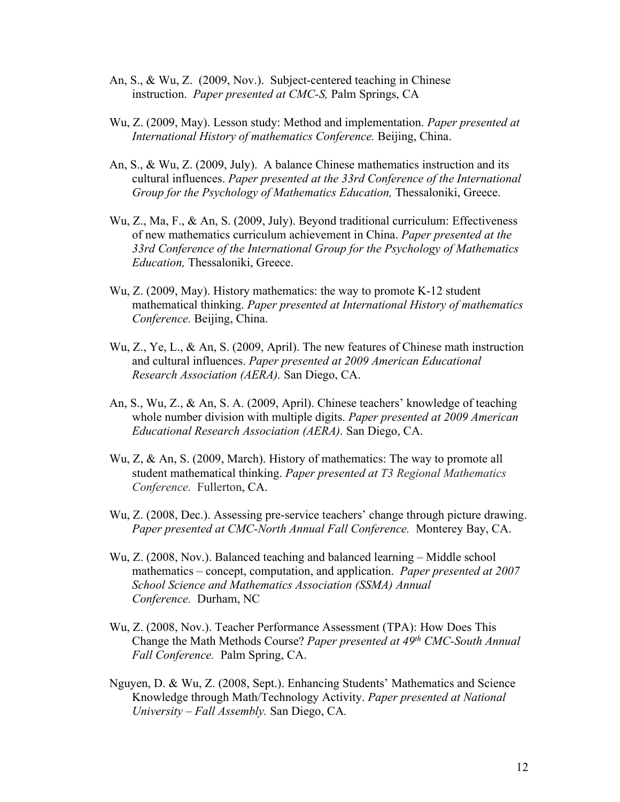- An, S., & Wu, Z. (2009, Nov.). Subject-centered teaching in Chinese instruction. *Paper presented at CMC-S,* Palm Springs, CA
- Wu, Z. (2009, May). Lesson study: Method and implementation. *Paper presented at International History of mathematics Conference.* Beijing, China.
- An, S., & Wu, Z. (2009, July). A balance Chinese mathematics instruction and its cultural influences. *Paper presented at the 33rd Conference of the International Group for the Psychology of Mathematics Education,* Thessaloniki, Greece.
- Wu, Z., Ma, F., & An, S. (2009, July). Beyond traditional curriculum: Effectiveness of new mathematics curriculum achievement in China. *Paper presented at the 33rd Conference of the International Group for the Psychology of Mathematics Education,* Thessaloniki, Greece.
- Wu, Z. (2009, May). History mathematics: the way to promote K-12 student mathematical thinking. *Paper presented at International History of mathematics Conference.* Beijing, China.
- Wu, Z., Ye, L., & An, S. (2009, April). The new features of Chinese math instruction and cultural influences. *Paper presented at 2009 American Educational Research Association (AERA).* San Diego, CA.
- An, S., Wu, Z., & An, S. A. (2009, April). Chinese teachers' knowledge of teaching whole number division with multiple digits. *Paper presented at 2009 American Educational Research Association (AERA).* San Diego, CA.
- Wu, Z, & An, S. (2009, March). History of mathematics: The way to promote all student mathematical thinking. *Paper presented at T3 Regional Mathematics Conference.* Fullerton, CA.
- Wu, Z. (2008, Dec.). Assessing pre-service teachers' change through picture drawing. *Paper presented at CMC-North Annual Fall Conference.* Monterey Bay, CA.
- Wu, Z. (2008, Nov.). Balanced teaching and balanced learning Middle school mathematics – concept, computation, and application. *Paper presented at 2007 School Science and Mathematics Association (SSMA) Annual Conference.* Durham, NC
- Wu, Z. (2008, Nov.). Teacher Performance Assessment (TPA): How Does This Change the Math Methods Course? *Paper presented at 49th CMC-South Annual Fall Conference.* Palm Spring, CA.
- Nguyen, D. & Wu, Z. (2008, Sept.). Enhancing Students' Mathematics and Science Knowledge through Math/Technology Activity. *Paper presented at National University – Fall Assembly.* San Diego, CA*.*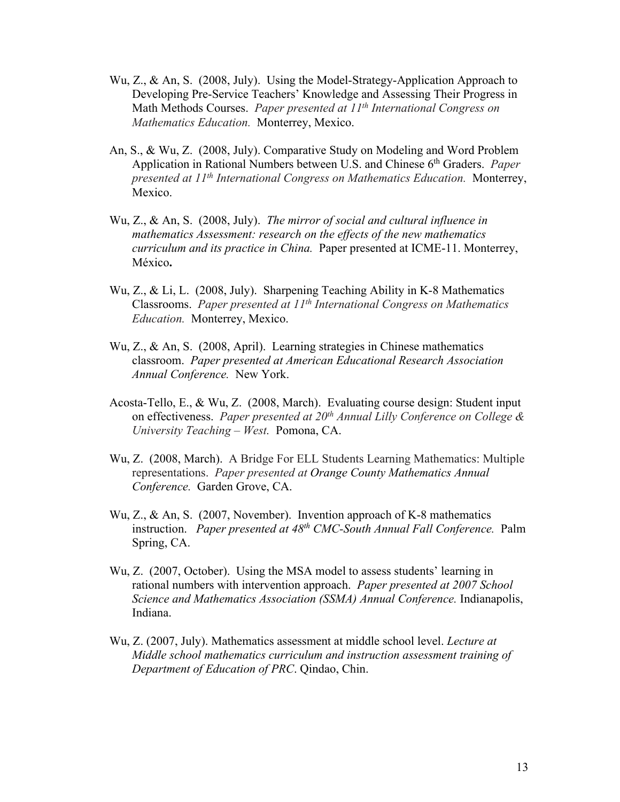- Wu, Z., & An, S. (2008, July). Using the Model-Strategy-Application Approach to Developing Pre-Service Teachers' Knowledge and Assessing Their Progress in Math Methods Courses. *Paper presented at 11th International Congress on Mathematics Education.* Monterrey, Mexico.
- An, S., & Wu, Z. (2008, July). Comparative Study on Modeling and Word Problem Application in Rational Numbers between U.S. and Chinese 6th Graders. *Paper presented at 11th International Congress on Mathematics Education.* Monterrey, Mexico.
- Wu, Z., & An, S. (2008, July). *The mirror of social and cultural influence in mathematics Assessment: research on the effects of the new mathematics curriculum and its practice in China.* Paper presented at ICME-11. Monterrey, México**.**
- Wu, Z., & Li, L. (2008, July). Sharpening Teaching Ability in K-8 Mathematics Classrooms. *Paper presented at 11th International Congress on Mathematics Education.* Monterrey, Mexico.
- Wu, Z., & An, S. (2008, April). Learning strategies in Chinese mathematics classroom. *Paper presented at American Educational Research Association Annual Conference.* New York.
- Acosta-Tello, E., & Wu, Z. (2008, March). Evaluating course design: Student input on effectiveness. *Paper presented at 20th Annual Lilly Conference on College & University Teaching – West.* Pomona, CA.
- Wu, Z. (2008, March). A Bridge For ELL Students Learning Mathematics: Multiple representations. *Paper presented at Orange County Mathematics Annual Conference.* Garden Grove, CA.
- Wu, Z., & An, S. (2007, November). Invention approach of K-8 mathematics instruction. *Paper presented at 48th CMC-South Annual Fall Conference.* Palm Spring, CA.
- Wu, Z. (2007, October). Using the MSA model to assess students' learning in rational numbers with intervention approach. *Paper presented at 2007 School Science and Mathematics Association (SSMA) Annual Conference.* Indianapolis, Indiana.
- Wu, Z. (2007, July). Mathematics assessment at middle school level. *Lecture at Middle school mathematics curriculum and instruction assessment training of Department of Education of PRC*. Qindao, Chin.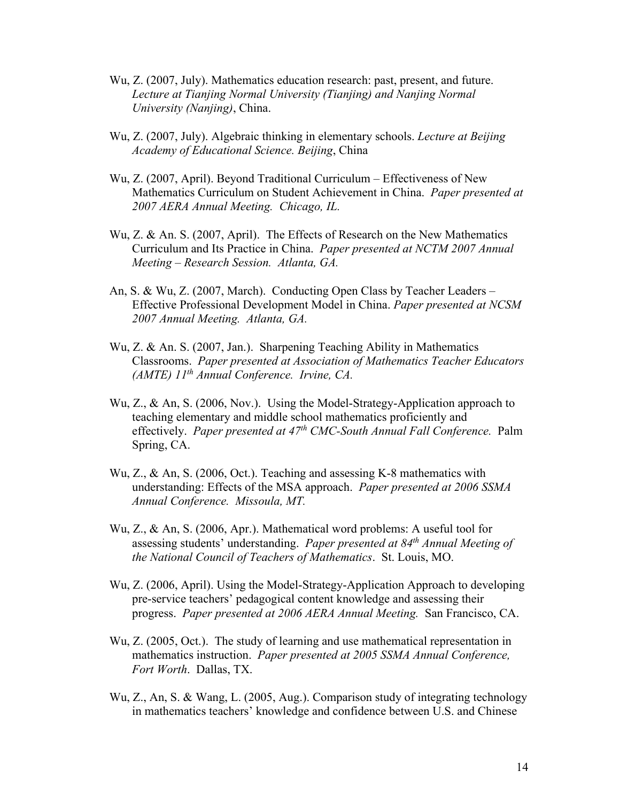- Wu, Z. (2007, July). Mathematics education research: past, present, and future. *Lecture at Tianjing Normal University (Tianjing) and Nanjing Normal University (Nanjing)*, China.
- Wu, Z. (2007, July). Algebraic thinking in elementary schools. *Lecture at Beijing Academy of Educational Science. Beijing*, China
- Wu, Z. (2007, April). Beyond Traditional Curriculum Effectiveness of New Mathematics Curriculum on Student Achievement in China. *Paper presented at 2007 AERA Annual Meeting. Chicago, IL.*
- Wu, Z. & An. S. (2007, April). The Effects of Research on the New Mathematics Curriculum and Its Practice in China. *Paper presented at NCTM 2007 Annual Meeting – Research Session. Atlanta, GA.*
- An, S. & Wu, Z. (2007, March). Conducting Open Class by Teacher Leaders Effective Professional Development Model in China. *Paper presented at NCSM 2007 Annual Meeting. Atlanta, GA.*
- Wu, Z. & An. S. (2007, Jan.). Sharpening Teaching Ability in Mathematics Classrooms. *Paper presented at Association of Mathematics Teacher Educators (AMTE) 11th Annual Conference. Irvine, CA.*
- Wu, Z., & An, S. (2006, Nov.). Using the Model-Strategy-Application approach to teaching elementary and middle school mathematics proficiently and effectively. *Paper presented at 47th CMC-South Annual Fall Conference.* Palm Spring, CA.
- Wu, Z., & An, S. (2006, Oct.). Teaching and assessing K-8 mathematics with understanding: Effects of the MSA approach. *Paper presented at 2006 SSMA Annual Conference. Missoula, MT.*
- Wu, Z., & An, S. (2006, Apr.). Mathematical word problems: A useful tool for assessing students' understanding. *Paper presented at 84th Annual Meeting of the National Council of Teachers of Mathematics*. St. Louis, MO.
- Wu, Z. (2006, April). Using the Model-Strategy-Application Approach to developing pre-service teachers' pedagogical content knowledge and assessing their progress. *Paper presented at 2006 AERA Annual Meeting.* San Francisco, CA.
- Wu, Z. (2005, Oct.). The study of learning and use mathematical representation in mathematics instruction. *Paper presented at 2005 SSMA Annual Conference, Fort Worth*. Dallas, TX.
- Wu, Z., An, S. & Wang, L. (2005, Aug.). Comparison study of integrating technology in mathematics teachers' knowledge and confidence between U.S. and Chinese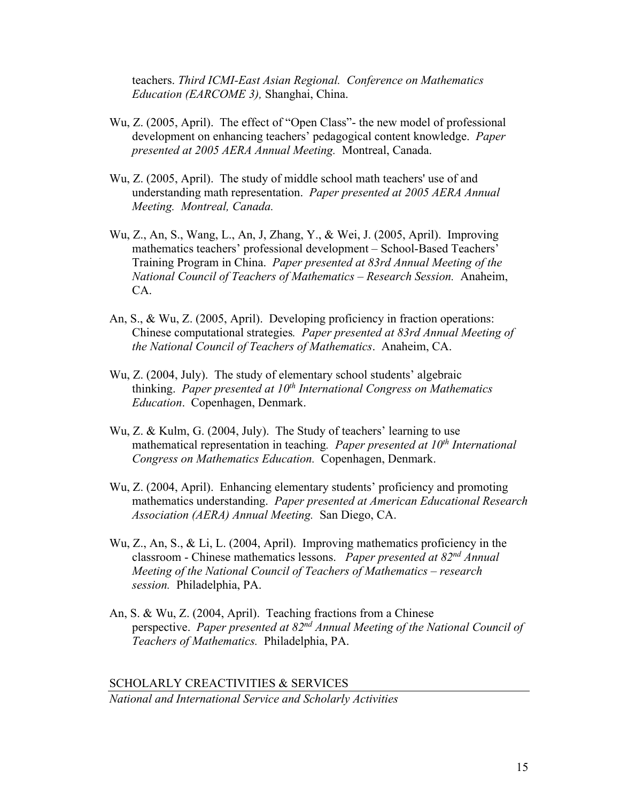teachers. *Third ICMI-East Asian Regional. Conference on Mathematics Education (EARCOME 3),* Shanghai, China.

- Wu, Z. (2005, April). The effect of "Open Class"- the new model of professional development on enhancing teachers' pedagogical content knowledge. *Paper presented at 2005 AERA Annual Meeting.* Montreal, Canada.
- Wu, Z. (2005, April). The study of middle school math teachers' use of and understanding math representation. *Paper presented at 2005 AERA Annual Meeting. Montreal, Canada.*
- Wu, Z., An, S., Wang, L., An, J, Zhang, Y., & Wei, J. (2005, April). Improving mathematics teachers' professional development – School-Based Teachers' Training Program in China. *Paper presented at 83rd Annual Meeting of the National Council of Teachers of Mathematics – Research Session.* Anaheim, CA.
- An, S., & Wu, Z. (2005, April). Developing proficiency in fraction operations: Chinese computational strategies*. Paper presented at 83rd Annual Meeting of the National Council of Teachers of Mathematics*. Anaheim, CA.
- Wu, Z. (2004, July). The study of elementary school students' algebraic thinking. Paper presented at 10<sup>th</sup> International Congress on Mathematics *Education*. Copenhagen, Denmark.
- Wu, Z. & Kulm, G. (2004, July). The Study of teachers' learning to use mathematical representation in teaching. *Paper presented at 10<sup>th</sup> International Congress on Mathematics Education.* Copenhagen, Denmark.
- Wu, Z. (2004, April). Enhancing elementary students' proficiency and promoting mathematics understanding. *Paper presented at American Educational Research Association (AERA) Annual Meeting.* San Diego, CA.
- Wu, Z., An, S., & Li, L. (2004, April). Improving mathematics proficiency in the classroom - Chinese mathematics lessons. *Paper presented at 82nd Annual Meeting of the National Council of Teachers of Mathematics – research session.* Philadelphia, PA.
- An, S. & Wu, Z. (2004, April). Teaching fractions from a Chinese perspective. *Paper presented at 82nd Annual Meeting of the National Council of Teachers of Mathematics.* Philadelphia, PA.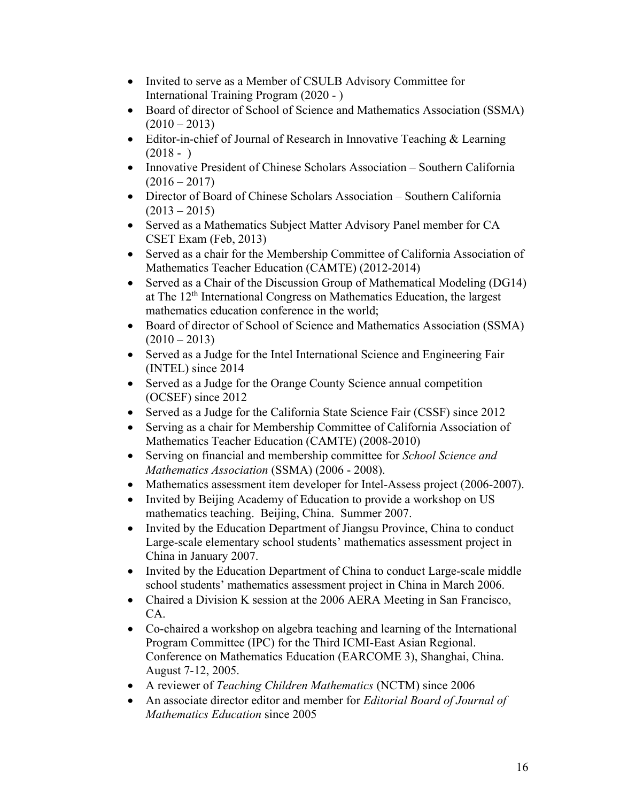- Invited to serve as a Member of CSULB Advisory Committee for International Training Program (2020 - )
- Board of director of School of Science and Mathematics Association (SSMA)  $(2010 - 2013)$
- Editor-in-chief of Journal of Research in Innovative Teaching & Learning  $(2018 - )$
- Innovative President of Chinese Scholars Association Southern California  $(2016 - 2017)$
- Director of Board of Chinese Scholars Association Southern California  $(2013 - 2015)$
- Served as a Mathematics Subject Matter Advisory Panel member for CA CSET Exam (Feb, 2013)
- Served as a chair for the Membership Committee of California Association of Mathematics Teacher Education (CAMTE) (2012-2014)
- Served as a Chair of the Discussion Group of Mathematical Modeling (DG14) at The 12th International Congress on Mathematics Education, the largest mathematics education conference in the world;
- Board of director of School of Science and Mathematics Association (SSMA)  $(2010 - 2013)$
- Served as a Judge for the Intel International Science and Engineering Fair (INTEL) since 2014
- Served as a Judge for the Orange County Science annual competition (OCSEF) since 2012
- Served as a Judge for the California State Science Fair (CSSF) since 2012
- Serving as a chair for Membership Committee of California Association of Mathematics Teacher Education (CAMTE) (2008-2010)
- Serving on financial and membership committee for *School Science and Mathematics Association* (SSMA) (2006 - 2008).
- Mathematics assessment item developer for Intel-Assess project (2006-2007).
- Invited by Beijing Academy of Education to provide a workshop on US mathematics teaching. Beijing, China. Summer 2007.
- Invited by the Education Department of Jiangsu Province, China to conduct Large-scale elementary school students' mathematics assessment project in China in January 2007.
- Invited by the Education Department of China to conduct Large-scale middle school students' mathematics assessment project in China in March 2006.
- Chaired a Division K session at the 2006 AERA Meeting in San Francisco, CA.
- Co-chaired a workshop on algebra teaching and learning of the International Program Committee (IPC) for the Third ICMI-East Asian Regional. Conference on Mathematics Education (EARCOME 3), Shanghai, China. August 7-12, 2005.
- A reviewer of *Teaching Children Mathematics* (NCTM) since 2006
- An associate director editor and member for *Editorial Board of Journal of Mathematics Education* since 2005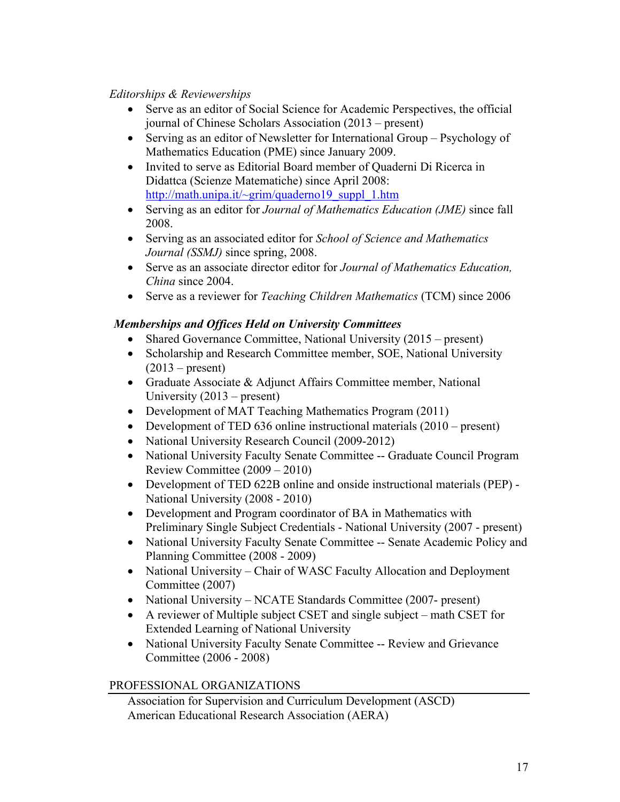### *Editorships & Reviewerships*

- Serve as an editor of Social Science for Academic Perspectives, the official journal of Chinese Scholars Association (2013 – present)
- Serving as an editor of Newsletter for International Group Psychology of Mathematics Education (PME) since January 2009.
- Invited to serve as Editorial Board member of Quaderni Di Ricerca in Didattca (Scienze Matematiche) since April 2008: [http://math.unipa.it/~grim/quaderno19\\_suppl\\_1.htm](http://math.unipa.it/%7Egrim/quaderno19_suppl_1.htm)
- Serving as an editor for *Journal of Mathematics Education (JME)* since fall 2008.
- Serving as an associated editor for *School of Science and Mathematics Journal (SSMJ)* since spring, 2008.
- Serve as an associate director editor for *Journal of Mathematics Education, China* since 2004.
- Serve as a reviewer for *Teaching Children Mathematics* (TCM) since 2006

## *Memberships and Offices Held on University Committees*

- Shared Governance Committee, National University (2015 present)
- Scholarship and Research Committee member, SOE, National University  $(2013 - present)$
- Graduate Associate & Adjunct Affairs Committee member, National University (2013 – present)
- Development of MAT Teaching Mathematics Program (2011)
- Development of TED 636 online instructional materials (2010 present)
- National University Research Council (2009-2012)
- National University Faculty Senate Committee -- Graduate Council Program Review Committee (2009 – 2010)
- Development of TED 622B online and onside instructional materials (PEP) National University (2008 - 2010)
- Development and Program coordinator of BA in Mathematics with Preliminary Single Subject Credentials - National University (2007 - present)
- National University Faculty Senate Committee -- Senate Academic Policy and Planning Committee (2008 - 2009)
- National University Chair of WASC Faculty Allocation and Deployment Committee (2007)
- National University NCATE Standards Committee (2007- present)
- A reviewer of Multiple subject CSET and single subject math CSET for Extended Learning of National University
- National University Faculty Senate Committee -- Review and Grievance Committee (2006 - 2008)

## PROFESSIONAL ORGANIZATIONS

Association for Supervision and Curriculum Development (ASCD) American Educational Research Association (AERA)